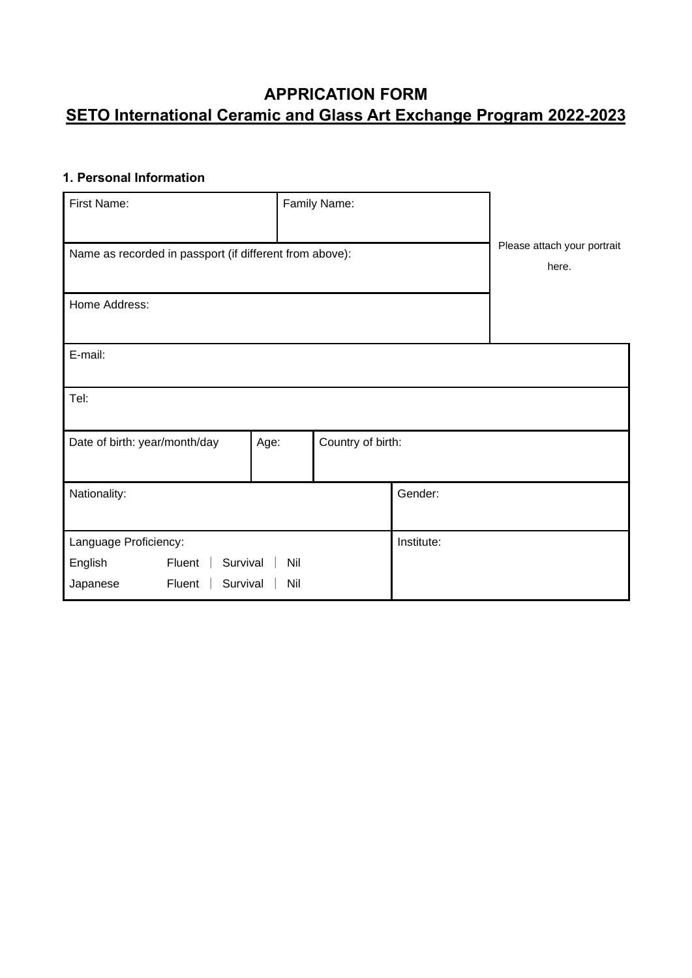# **APPRICATION FORM SETO International Ceramic and Glass Art Exchange Program 2022-2023**

## **1. Personal Information**

| First Name:                                             |                                      | Family Name:      |            |  |  |
|---------------------------------------------------------|--------------------------------------|-------------------|------------|--|--|
| Name as recorded in passport (if different from above): | Please attach your portrait<br>here. |                   |            |  |  |
| Home Address:                                           |                                      |                   |            |  |  |
| E-mail:                                                 |                                      |                   |            |  |  |
| Tel:                                                    |                                      |                   |            |  |  |
| Date of birth: year/month/day<br>Age:                   |                                      | Country of birth: |            |  |  |
| Nationality:                                            |                                      |                   | Gender:    |  |  |
| Language Proficiency:                                   |                                      |                   | Institute: |  |  |
| Fluent<br>Survival<br>English<br>Nil                    |                                      |                   |            |  |  |
| Fluent<br>Survival<br>Japanese                          |                                      |                   |            |  |  |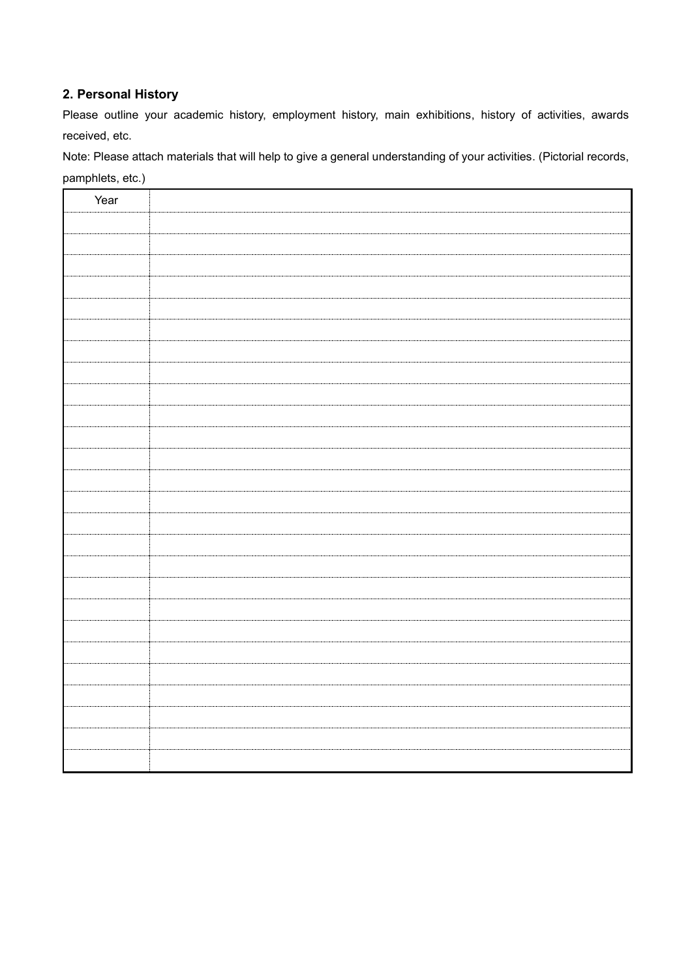#### **2. Personal History**

Please outline your academic history, employment history, main exhibitions, history of activities, awards received, etc.

Note: Please attach materials that will help to give a general understanding of your activities. (Pictorial records, pamphlets, etc.)

| Year |  |
|------|--|
|      |  |
|      |  |
|      |  |
|      |  |
|      |  |
|      |  |
|      |  |
|      |  |
|      |  |
|      |  |
|      |  |
|      |  |
|      |  |
|      |  |
|      |  |
|      |  |
|      |  |
|      |  |
|      |  |
|      |  |
|      |  |
|      |  |
|      |  |
|      |  |
|      |  |
|      |  |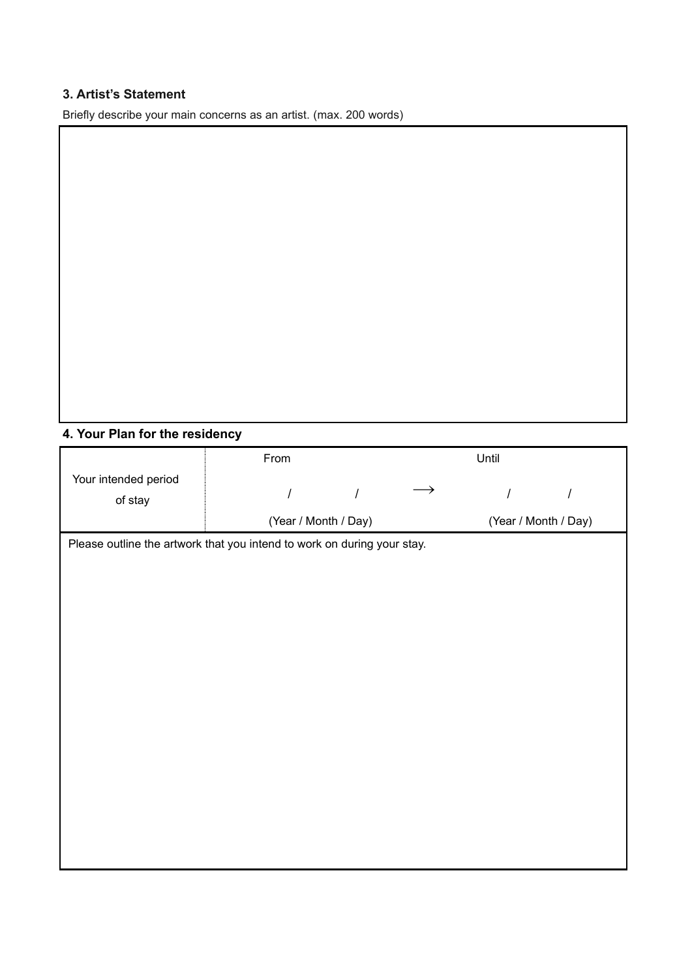### **3. Artist's Statement**

Briefly describe your main concerns as an artist. (max. 200 words)

#### **4. Your Plan for the residency**

|                                                                         | From                 |  | Until                |  |
|-------------------------------------------------------------------------|----------------------|--|----------------------|--|
| Your intended period                                                    |                      |  |                      |  |
| of stay                                                                 |                      |  |                      |  |
|                                                                         |                      |  |                      |  |
|                                                                         | (Year / Month / Day) |  | (Year / Month / Day) |  |
| Please outline the artwork that you intend to work on during your stay. |                      |  |                      |  |
|                                                                         |                      |  |                      |  |
|                                                                         |                      |  |                      |  |
|                                                                         |                      |  |                      |  |
|                                                                         |                      |  |                      |  |
|                                                                         |                      |  |                      |  |
|                                                                         |                      |  |                      |  |
|                                                                         |                      |  |                      |  |
|                                                                         |                      |  |                      |  |
|                                                                         |                      |  |                      |  |
|                                                                         |                      |  |                      |  |
|                                                                         |                      |  |                      |  |
|                                                                         |                      |  |                      |  |
|                                                                         |                      |  |                      |  |
|                                                                         |                      |  |                      |  |
|                                                                         |                      |  |                      |  |
|                                                                         |                      |  |                      |  |
|                                                                         |                      |  |                      |  |
|                                                                         |                      |  |                      |  |
|                                                                         |                      |  |                      |  |
|                                                                         |                      |  |                      |  |
|                                                                         |                      |  |                      |  |